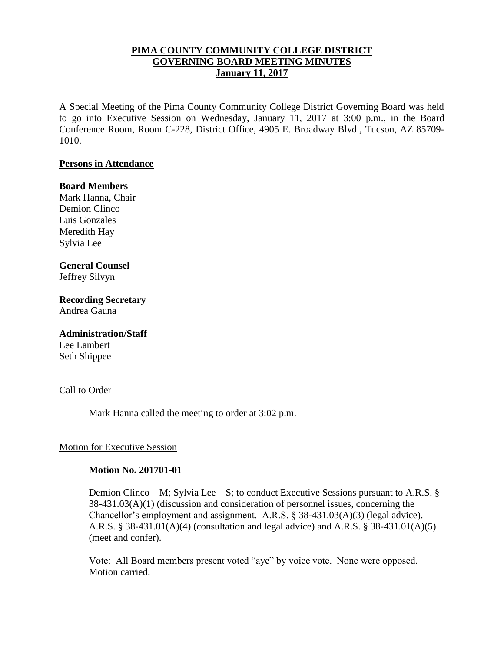# **PIMA COUNTY COMMUNITY COLLEGE DISTRICT GOVERNING BOARD MEETING MINUTES January 11, 2017**

A Special Meeting of the Pima County Community College District Governing Board was held to go into Executive Session on Wednesday, January 11, 2017 at 3:00 p.m., in the Board Conference Room, Room C-228, District Office, 4905 E. Broadway Blvd., Tucson, AZ 85709- 1010.

## **Persons in Attendance**

## **Board Members**

Mark Hanna, Chair Demion Clinco Luis Gonzales Meredith Hay Sylvia Lee

# **General Counsel**

Jeffrey Silvyn

# **Recording Secretary**

Andrea Gauna

#### **Administration/Staff**

Lee Lambert Seth Shippee

#### Call to Order

Mark Hanna called the meeting to order at 3:02 p.m.

## Motion for Executive Session

## **Motion No. 201701-01**

Demion Clinco – M; Sylvia Lee – S; to conduct Executive Sessions pursuant to A.R.S. § 38-431.03(A)(1) (discussion and consideration of personnel issues, concerning the Chancellor's employment and assignment. A.R.S. § 38-431.03(A)(3) (legal advice). A.R.S. § 38-431.01(A)(4) (consultation and legal advice) and A.R.S. § 38-431.01(A)(5) (meet and confer).

Vote: All Board members present voted "aye" by voice vote. None were opposed. Motion carried.